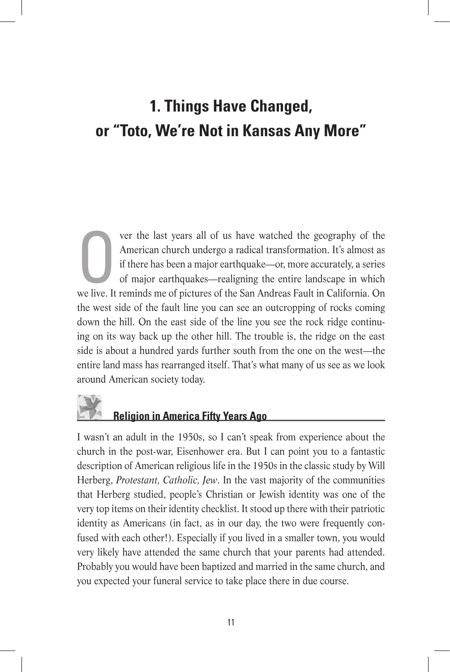## **1. Things Have Changed, or "Toto, We're Not in Kansas Any More"**

Ver the last years all of us have watched the geography of the<br>American church undergo a radical transformation. It's almost as<br>if there has been a major earthquake—or, more accurately, a series<br>of major earthquakes—realig American church undergo a radical transformation. It's almost as if there has been a major earthquake—or, more accurately, a series of major earthquakes—realigning the entire landscape in which we live. It reminds me of pictures of the San Andreas Fault in California. On the west side of the fault line you can see an outcropping of rocks coming down the hill. On the east side of the line you see the rock ridge continuing on its way back up the other hill. The trouble is, the ridge on the east side is about a hundred yards further south from the one on the west—the entire land mass has rearranged itself. That's what many of us see as we look around American society today.

## **Religion in America Fifty Years Ago**

I wasn't an adult in the 1950s, so I can't speak from experience about the church in the post-war, Eisenhower era. But I can point you to a fantastic description of American religious life in the 1950s in the classic study by Will Herberg, *Protestant, Catholic, Jew*. In the vast majority of the communities that Herberg studied, people's Christian or Jewish identity was one of the very top items on their identity checklist. It stood up there with their patriotic identity as Americans (in fact, as in our day, the two were frequently confused with each other!). Especially if you lived in a smaller town, you would very likely have attended the same church that your parents had attended. Probably you would have been baptized and married in the same church, and you expected your funeral service to take place there in due course.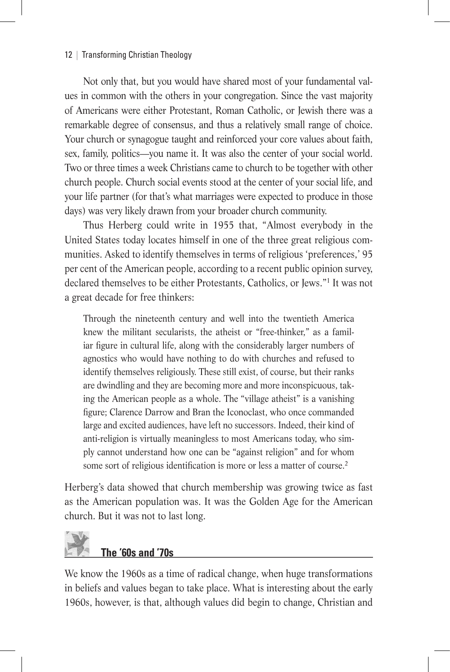## 12 | Transforming Christian Theology

Not only that, but you would have shared most of your fundamental values in common with the others in your congregation. Since the vast majority of Americans were either Protestant, Roman Catholic, or Jewish there was a remarkable degree of consensus, and thus a relatively small range of choice. Your church or synagogue taught and reinforced your core values about faith, sex, family, politics—you name it. It was also the center of your social world. Two or three times a week Christians came to church to be together with other church people. Church social events stood at the center of your social life, and your life partner (for that's what marriages were expected to produce in those days) was very likely drawn from your broader church community.

Thus Herberg could write in 1955 that, "Almost everybody in the United States today locates himself in one of the three great religious communities. Asked to identify themselves in terms of religious 'preferences,' 95 per cent of the American people, according to a recent public opinion survey, declared themselves to be either Protestants, Catholics, or Jews."1 It was not a great decade for free thinkers:

Through the nineteenth century and well into the twentieth America knew the militant secularists, the atheist or "free-thinker," as a familiar figure in cultural life, along with the considerably larger numbers of agnostics who would have nothing to do with churches and refused to identify themselves religiously. These still exist, of course, but their ranks are dwindling and they are becoming more and more inconspicuous, taking the American people as a whole. The "village atheist" is a vanishing figure; Clarence Darrow and Bran the Iconoclast, who once commanded large and excited audiences, have left no successors. Indeed, their kind of anti-religion is virtually meaningless to most Americans today, who simply cannot understand how one can be "against religion" and for whom some sort of religious identification is more or less a matter of course.<sup>2</sup>

Herberg's data showed that church membership was growing twice as fast as the American population was. It was the Golden Age for the American church. But it was not to last long.



We know the 1960s as a time of radical change, when huge transformations in beliefs and values began to take place. What is interesting about the early 1960s, however, is that, although values did begin to change, Christian and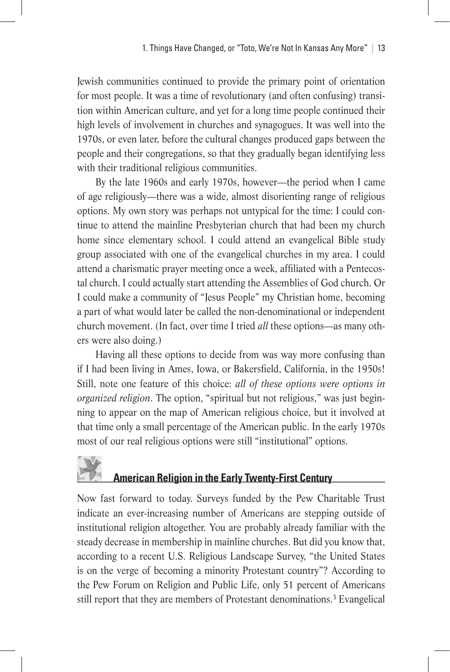Jewish communities continued to provide the primary point of orientation for most people. It was a time of revolutionary (and often confusing) transition within American culture, and yet for a long time people continued their high levels of involvement in churches and synagogues. It was well into the 1970s, or even later, before the cultural changes produced gaps between the people and their congregations, so that they gradually began identifying less with their traditional religious communities.

By the late 1960s and early 1970s, however—the period when I came of age religiously—there was a wide, almost disorienting range of religious options. My own story was perhaps not untypical for the time: I could continue to attend the mainline Presbyterian church that had been my church home since elementary school. I could attend an evangelical Bible study group associated with one of the evangelical churches in my area. I could attend a charismatic prayer meeting once a week, affiliated with a Pentecostal church. I could actually start attending the Assemblies of God church. Or I could make a community of "Jesus People" my Christian home, becoming a part of what would later be called the non-denominational or independent church movement. (In fact, over time I tried *all* these options—as many others were also doing.)

Having all these options to decide from was way more confusing than if I had been living in Ames, Iowa, or Bakersfield, California, in the 1950s! Still, note one feature of this choice: *all of these options were options in organized religion*. The option, "spiritual but not religious," was just beginning to appear on the map of American religious choice, but it involved at that time only a small percentage of the American public. In the early 1970s most of our real religious options were still "institutional" options.

## **American Religion in the Early Twenty-First Century**

Now fast forward to today. Surveys funded by the Pew Charitable Trust indicate an ever-increasing number of Americans are stepping outside of institutional religion altogether. You are probably already familiar with the steady decrease in membership in mainline churches. But did you know that, according to a recent U.S. Religious Landscape Survey, "the United States is on the verge of becoming a minority Protestant country"? According to the Pew Forum on Religion and Public Life, only 51 percent of Americans still report that they are members of Protestant denominations.<sup>3</sup> Evangelical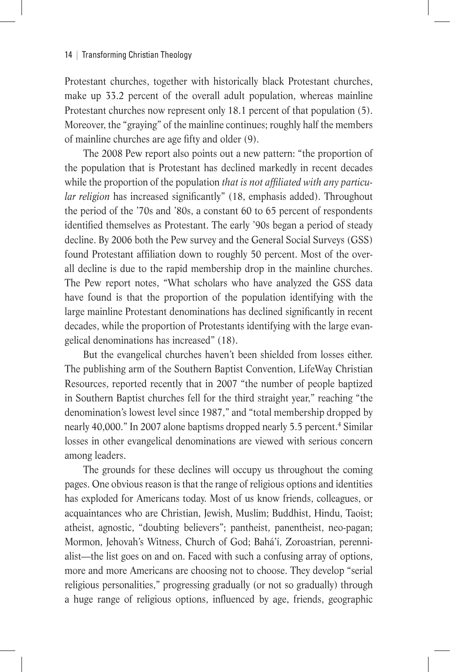Protestant churches, together with historically black Protestant churches, make up 33.2 percent of the overall adult population, whereas mainline Protestant churches now represent only 18.1 percent of that population (5). Moreover, the "graying" of the mainline continues; roughly half the members of mainline churches are age fifty and older (9).

The 2008 Pew report also points out a new pattern: "the proportion of the population that is Protestant has declined markedly in recent decades while the proportion of the population *that is not affiliated with any particular religion* has increased significantly" (18, emphasis added). Throughout the period of the '70s and '80s, a constant 60 to 65 percent of respondents identified themselves as Protestant. The early '90s began a period of steady decline. By 2006 both the Pew survey and the General Social Surveys (GSS) found Protestant affiliation down to roughly 50 percent. Most of the overall decline is due to the rapid membership drop in the mainline churches. The Pew report notes, "What scholars who have analyzed the GSS data have found is that the proportion of the population identifying with the large mainline Protestant denominations has declined significantly in recent decades, while the proportion of Protestants identifying with the large evangelical denominations has increased" (18).

But the evangelical churches haven't been shielded from losses either. The publishing arm of the Southern Baptist Convention, LifeWay Christian Resources, reported recently that in 2007 "the number of people baptized in Southern Baptist churches fell for the third straight year," reaching "the denomination's lowest level since 1987," and "total membership dropped by nearly 40,000." In 2007 alone baptisms dropped nearly 5.5 percent.<sup>4</sup> Similar losses in other evangelical denominations are viewed with serious concern among leaders.

The grounds for these declines will occupy us throughout the coming pages. One obvious reason is that the range of religious options and identities has exploded for Americans today. Most of us know friends, colleagues, or acquaintances who are Christian, Jewish, Muslim; Buddhist, Hindu, Taoist; atheist, agnostic, "doubting believers"; pantheist, panentheist, neo-pagan; Mormon, Jehovah's Witness, Church of God; Bahá'í, Zoroastrian, perennialist—the list goes on and on. Faced with such a confusing array of options, more and more Americans are choosing not to choose. They develop "serial religious personalities," progressing gradually (or not so gradually) through a huge range of religious options, influenced by age, friends, geographic